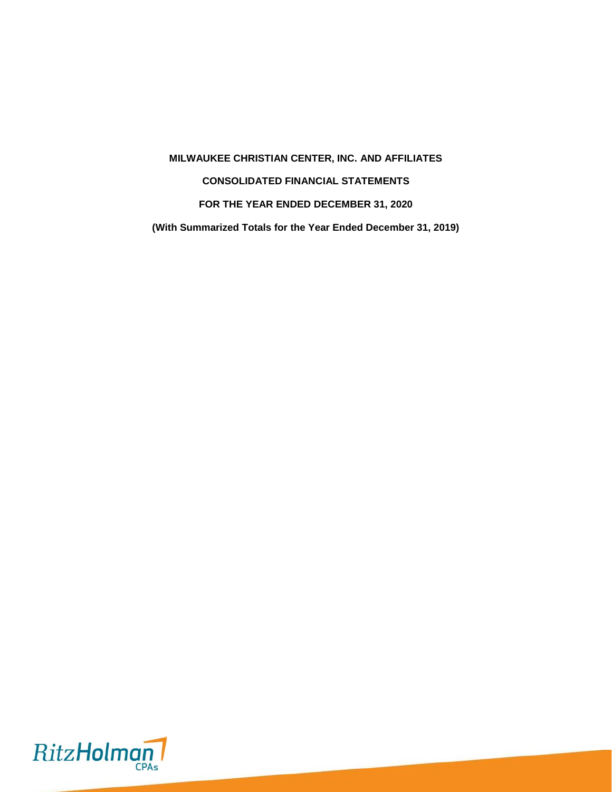**MILWAUKEE CHRISTIAN CENTER, INC. AND AFFILIATES CONSOLIDATED FINANCIAL STATEMENTS FOR THE YEAR ENDED DECEMBER 31, 2020 (With Summarized Totals for the Year Ended December 31, 2019)**

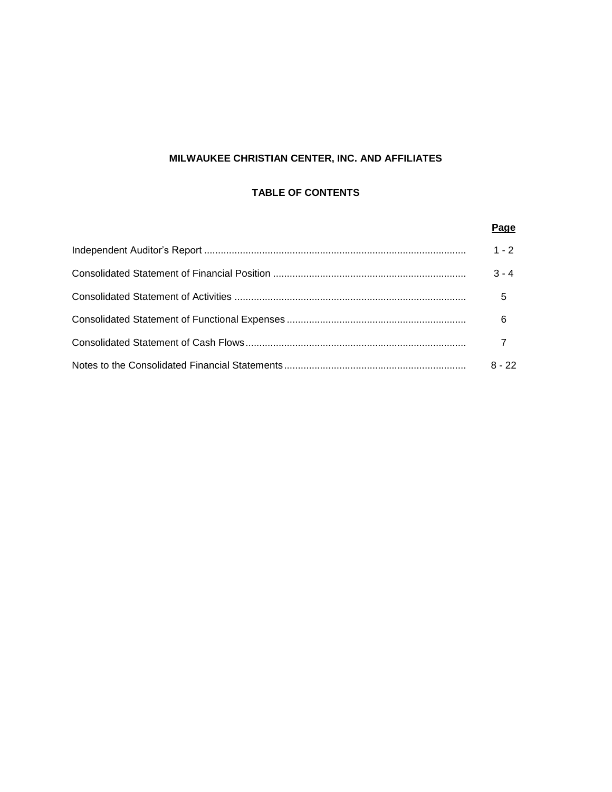# **MILWAUKEE CHRISTIAN CENTER, INC. AND AFFILIATES**

# **TABLE OF CONTENTS**

| Page     |
|----------|
| $1 - 2$  |
| $3 - 4$  |
| 5        |
| 6        |
|          |
| $8 - 22$ |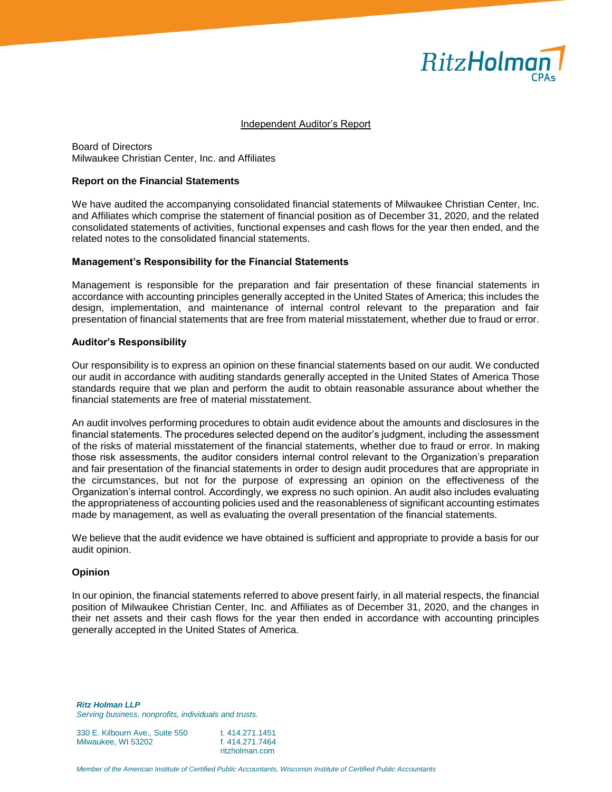

#### Independent Auditor's Report

Board of Directors Milwaukee Christian Center, Inc. and Affiliates

#### **Report on the Financial Statements**

We have audited the accompanying consolidated financial statements of Milwaukee Christian Center, Inc. and Affiliates which comprise the statement of financial position as of December 31, 2020, and the related consolidated statements of activities, functional expenses and cash flows for the year then ended, and the related notes to the consolidated financial statements.

#### **Management's Responsibility for the Financial Statements**

Management is responsible for the preparation and fair presentation of these financial statements in accordance with accounting principles generally accepted in the United States of America; this includes the design, implementation, and maintenance of internal control relevant to the preparation and fair presentation of financial statements that are free from material misstatement, whether due to fraud or error.

#### **Auditor's Responsibility**

Our responsibility is to express an opinion on these financial statements based on our audit. We conducted our audit in accordance with auditing standards generally accepted in the United States of America Those standards require that we plan and perform the audit to obtain reasonable assurance about whether the financial statements are free of material misstatement.

An audit involves performing procedures to obtain audit evidence about the amounts and disclosures in the financial statements. The procedures selected depend on the auditor's judgment, including the assessment of the risks of material misstatement of the financial statements, whether due to fraud or error. In making those risk assessments, the auditor considers internal control relevant to the Organization's preparation and fair presentation of the financial statements in order to design audit procedures that are appropriate in the circumstances, but not for the purpose of expressing an opinion on the effectiveness of the Organization's internal control. Accordingly, we express no such opinion. An audit also includes evaluating the appropriateness of accounting policies used and the reasonableness of significant accounting estimates made by management, as well as evaluating the overall presentation of the financial statements.

We believe that the audit evidence we have obtained is sufficient and appropriate to provide a basis for our audit opinion.

#### **Opinion**

In our opinion, the financial statements referred to above present fairly, in all material respects, the financial position of Milwaukee Christian Center, Inc. and Affiliates as of December 31, 2020, and the changes in their net assets and their cash flows for the year then ended in accordance with accounting principles generally accepted in the United States of America.

*Ritz Holman LLP Serving business, nonprofits, individuals and trusts.*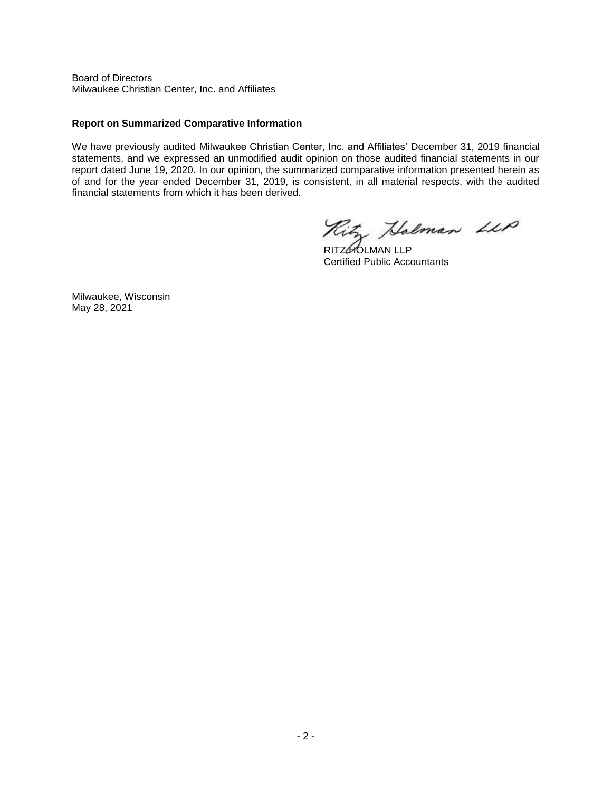Board of Directors Milwaukee Christian Center, Inc. and Affiliates

## **Report on Summarized Comparative Information**

We have previously audited Milwaukee Christian Center, Inc. and Affiliates' December 31, 2019 financial statements, and we expressed an unmodified audit opinion on those audited financial statements in our report dated June 19, 2020. In our opinion, the summarized comparative information presented herein as of and for the year ended December 31, 2019, is consistent, in all material respects, with the audited financial statements from which it has been derived.

Ritz Holman LLP

RITZ**HOLMAN LLP** Certified Public Accountants

Milwaukee, Wisconsin May 28, 2021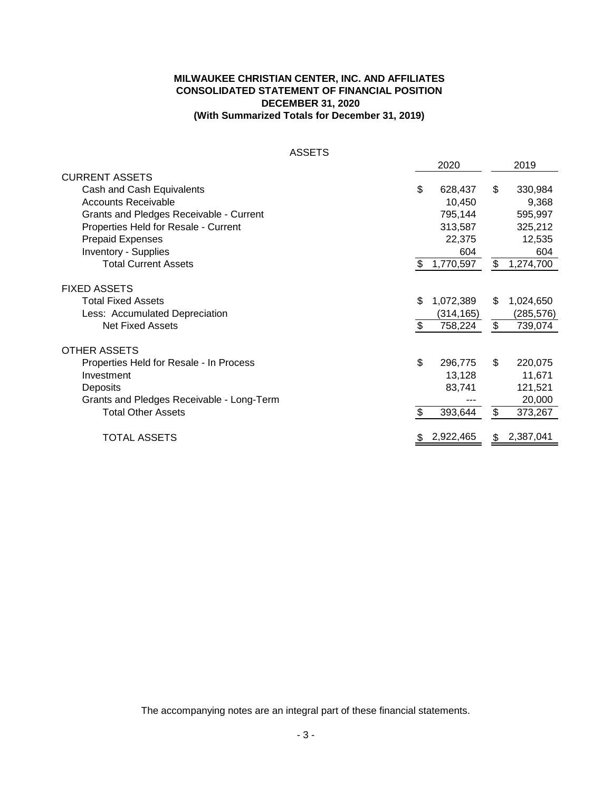# **MILWAUKEE CHRISTIAN CENTER, INC. AND AFFILIATES CONSOLIDATED STATEMENT OF FINANCIAL POSITION DECEMBER 31, 2020 (With Summarized Totals for December 31, 2019)**

| <b>ASSETS</b>                             |                 |                 |
|-------------------------------------------|-----------------|-----------------|
|                                           | 2020            | 2019            |
| <b>CURRENT ASSETS</b>                     |                 |                 |
| Cash and Cash Equivalents                 | \$<br>628,437   | \$<br>330,984   |
| <b>Accounts Receivable</b>                | 10,450          | 9,368           |
| Grants and Pledges Receivable - Current   | 795,144         | 595,997         |
| Properties Held for Resale - Current      | 313,587         | 325,212         |
| <b>Prepaid Expenses</b>                   | 22,375          | 12,535          |
| <b>Inventory - Supplies</b>               | 604             | 604             |
| <b>Total Current Assets</b>               | \$<br>1,770,597 | \$<br>1,274,700 |
|                                           |                 |                 |
| <b>FIXED ASSETS</b>                       |                 |                 |
| <b>Total Fixed Assets</b>                 | \$<br>1,072,389 | \$<br>1,024,650 |
| Less: Accumulated Depreciation            | (314, 165)      | (285,576)       |
| <b>Net Fixed Assets</b>                   | \$<br>758,224   | \$<br>739,074   |
| <b>OTHER ASSETS</b>                       |                 |                 |
| Properties Held for Resale - In Process   | \$<br>296,775   | \$<br>220,075   |
| Investment                                | 13,128          | 11,671          |
| Deposits                                  | 83,741          | 121,521         |
| Grants and Pledges Receivable - Long-Term |                 | 20,000          |
| <b>Total Other Assets</b>                 | \$<br>393,644   | \$<br>373,267   |
| <b>TOTAL ASSETS</b>                       | \$2,922,465     | \$<br>2,387,041 |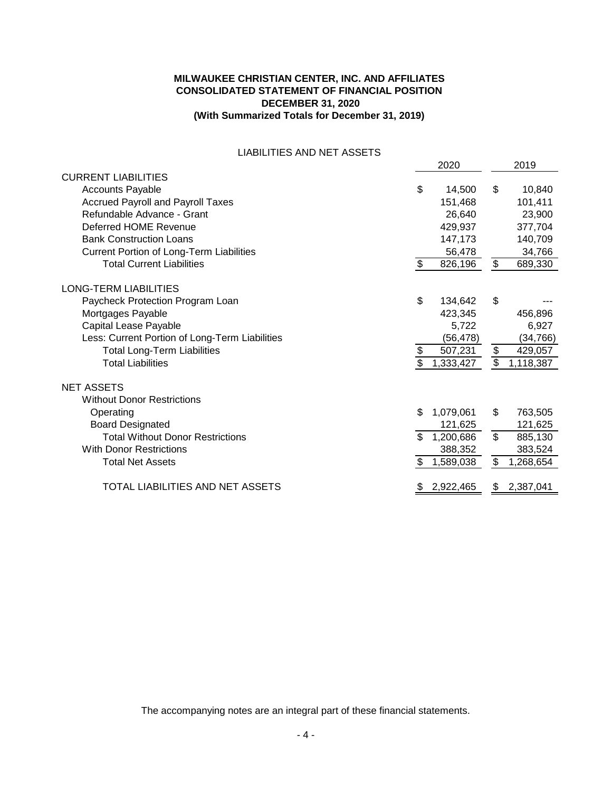# **MILWAUKEE CHRISTIAN CENTER, INC. AND AFFILIATES CONSOLIDATED STATEMENT OF FINANCIAL POSITION DECEMBER 31, 2020 (With Summarized Totals for December 31, 2019)**

## LIABILITIES AND NET ASSETS

|                                                 |     | 2020        |                         | 2019      |
|-------------------------------------------------|-----|-------------|-------------------------|-----------|
| <b>CURRENT LIABILITIES</b>                      |     |             |                         |           |
| <b>Accounts Payable</b>                         | \$  | 14,500      | \$                      | 10,840    |
| <b>Accrued Payroll and Payroll Taxes</b>        |     | 151,468     |                         | 101,411   |
| Refundable Advance - Grant                      |     | 26,640      |                         | 23,900    |
| Deferred HOME Revenue                           |     | 429,937     |                         | 377,704   |
| <b>Bank Construction Loans</b>                  |     | 147,173     |                         | 140,709   |
| <b>Current Portion of Long-Term Liabilities</b> |     | 56,478      |                         | 34,766    |
| <b>Total Current Liabilities</b>                | \$  | 826,196     | $\frac{1}{2}$           | 689,330   |
| <b>LONG-TERM LIABILITIES</b>                    |     |             |                         |           |
| Paycheck Protection Program Loan                | \$  | 134,642     | \$                      |           |
| Mortgages Payable                               |     | 423,345     |                         | 456,896   |
| Capital Lease Payable                           |     | 5,722       |                         | 6,927     |
| Less: Current Portion of Long-Term Liabilities  |     | (56,478)    |                         | (34, 766) |
| <b>Total Long-Term Liabilities</b>              | \$  | 507,231     | \$                      | 429,057   |
| <b>Total Liabilities</b>                        | \$  | 1,333,427   | \$                      | 1,118,387 |
| <b>NET ASSETS</b>                               |     |             |                         |           |
| <b>Without Donor Restrictions</b>               |     |             |                         |           |
| Operating                                       | \$. | 1,079,061   | \$                      | 763,505   |
| <b>Board Designated</b>                         |     | 121,625     |                         | 121,625   |
| <b>Total Without Donor Restrictions</b>         | \$. | 1,200,686   | $\overline{\mathbf{s}}$ | 885,130   |
| <b>With Donor Restrictions</b>                  |     | 388,352     |                         | 383,524   |
| <b>Total Net Assets</b>                         | \$  | 1,589,038   | \$                      | 1,268,654 |
| TOTAL LIABILITIES AND NET ASSETS                |     | \$2,922,465 | \$                      | 2,387,041 |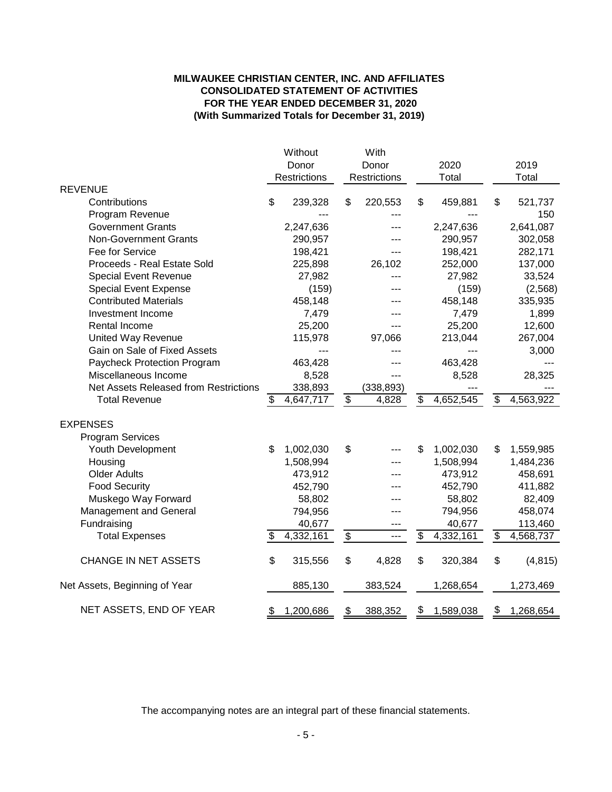# **MILWAUKEE CHRISTIAN CENTER, INC. AND AFFILIATES CONSOLIDATED STATEMENT OF ACTIVITIES FOR THE YEAR ENDED DECEMBER 31, 2020 (With Summarized Totals for December 31, 2019)**

|                                       | Without         |                 | With         |                 |           |                          |           |
|---------------------------------------|-----------------|-----------------|--------------|-----------------|-----------|--------------------------|-----------|
|                                       | Donor           |                 | Donor        |                 | 2020      |                          | 2019      |
|                                       | Restrictions    |                 | Restrictions |                 | Total     |                          | Total     |
| <b>REVENUE</b>                        |                 |                 |              |                 |           |                          |           |
| Contributions                         | \$<br>239,328   | S               | 220,553      | \$              | 459,881   | \$                       | 521,737   |
| Program Revenue                       |                 |                 |              |                 |           |                          | 150       |
| <b>Government Grants</b>              | 2,247,636       |                 |              |                 | 2,247,636 |                          | 2,641,087 |
| <b>Non-Government Grants</b>          | 290,957         |                 |              |                 | 290,957   |                          | 302,058   |
| Fee for Service                       | 198,421         |                 | ---          |                 | 198,421   |                          | 282,171   |
| Proceeds - Real Estate Sold           | 225,898         |                 | 26,102       |                 | 252,000   |                          | 137,000   |
| <b>Special Event Revenue</b>          | 27,982          |                 |              |                 | 27,982    |                          | 33,524    |
| <b>Special Event Expense</b>          | (159)           |                 |              |                 | (159)     |                          | (2, 568)  |
| <b>Contributed Materials</b>          | 458,148         |                 |              |                 | 458,148   |                          | 335,935   |
| Investment Income                     | 7,479           |                 |              |                 | 7,479     |                          | 1,899     |
| Rental Income                         | 25,200          |                 | ---          |                 | 25,200    |                          | 12,600    |
| <b>United Way Revenue</b>             | 115,978         |                 | 97,066       |                 | 213,044   |                          | 267,004   |
| Gain on Sale of Fixed Assets          |                 |                 | ---          |                 |           |                          | 3,000     |
| Paycheck Protection Program           | 463,428         |                 |              |                 | 463,428   |                          |           |
| Miscellaneous Income                  | 8,528           |                 |              |                 | 8,528     |                          | 28,325    |
| Net Assets Released from Restrictions | 338,893         |                 | (338, 893)   |                 |           |                          |           |
| <b>Total Revenue</b>                  | \$<br>4,647,717 | $\frac{1}{2}$   | 4,828        | \$              | 4,652,545 | \$                       | 4,563,922 |
|                                       |                 |                 |              |                 |           |                          |           |
| <b>EXPENSES</b>                       |                 |                 |              |                 |           |                          |           |
| <b>Program Services</b>               |                 |                 |              |                 |           |                          |           |
| Youth Development                     | \$<br>1,002,030 | \$              |              | \$              | 1,002,030 | \$                       | 1,559,985 |
| Housing                               | 1,508,994       |                 |              |                 | 1,508,994 |                          | 1,484,236 |
| <b>Older Adults</b>                   | 473,912         |                 |              |                 | 473,912   |                          | 458,691   |
| <b>Food Security</b>                  | 452,790         |                 | ---          |                 | 452,790   |                          | 411,882   |
| Muskego Way Forward                   | 58,802          |                 |              |                 | 58,802    |                          | 82,409    |
| Management and General                | 794,956         |                 | ---          |                 | 794,956   |                          | 458,074   |
| Fundraising                           | 40,677          |                 | $---$        |                 | 40,677    |                          | 113,460   |
| <b>Total Expenses</b>                 | 4,332,161       | $\overline{\$}$ | ---          | $\overline{\$}$ | 4,332,161 | $\overline{\mathcal{S}}$ | 4,568,737 |
| <b>CHANGE IN NET ASSETS</b>           | \$<br>315,556   | \$              | 4,828        | \$              | 320,384   | \$                       | (4, 815)  |
| Net Assets, Beginning of Year         | 885,130         |                 | 383,524      |                 | 1,268,654 |                          | 1,273,469 |
| NET ASSETS, END OF YEAR               | \$<br>1,200,686 | \$              | 388,352      | \$              | 1,589,038 | \$                       | 1,268,654 |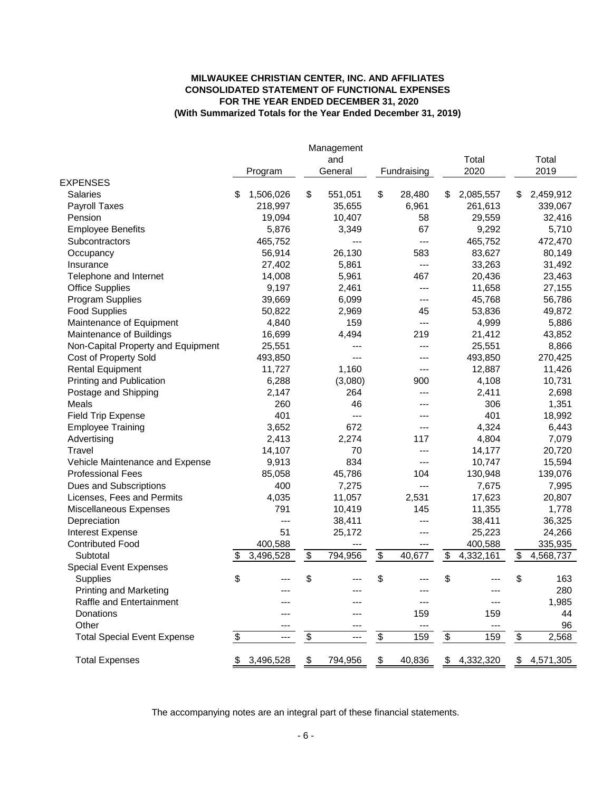# **MILWAUKEE CHRISTIAN CENTER, INC. AND AFFILIATES CONSOLIDATED STATEMENT OF FUNCTIONAL EXPENSES FOR THE YEAR ENDED DECEMBER 31, 2020 (With Summarized Totals for the Year Ended December 31, 2019)**

|                                    |                 | Management<br>and |                                           |             |    | Total     |                   | Total       |
|------------------------------------|-----------------|-------------------|-------------------------------------------|-------------|----|-----------|-------------------|-------------|
|                                    | Program         | General           |                                           | Fundraising |    | 2020      |                   | 2019        |
| <b>EXPENSES</b>                    |                 |                   |                                           |             |    |           |                   |             |
| <b>Salaries</b>                    | \$<br>1,506,026 | \$<br>551,051     | \$                                        | 28,480      | S  | 2,085,557 | \$                | 2,459,912   |
| <b>Payroll Taxes</b>               | 218,997         | 35,655            |                                           | 6,961       |    | 261,613   |                   | 339,067     |
| Pension                            | 19,094          | 10,407            |                                           | 58          |    | 29,559    |                   | 32,416      |
| <b>Employee Benefits</b>           | 5,876           | 3,349             |                                           | 67          |    | 9,292     |                   | 5,710       |
| Subcontractors                     | 465,752         | ---               |                                           | ---         |    | 465,752   |                   | 472,470     |
| Occupancy                          | 56,914          | 26,130            |                                           | 583         |    | 83,627    |                   | 80,149      |
| Insurance                          | 27,402          | 5,861             |                                           | ---         |    | 33,263    |                   | 31,492      |
| Telephone and Internet             | 14,008          | 5,961             |                                           | 467         |    | 20,436    |                   | 23,463      |
| <b>Office Supplies</b>             | 9,197           | 2,461             |                                           | ---         |    | 11,658    |                   | 27,155      |
| Program Supplies                   | 39,669          | 6,099             |                                           | ---         |    | 45,768    |                   | 56,786      |
| <b>Food Supplies</b>               | 50,822          | 2,969             |                                           | 45          |    | 53,836    |                   | 49,872      |
| Maintenance of Equipment           | 4,840           | 159               |                                           | ---         |    | 4,999     |                   | 5,886       |
| Maintenance of Buildings           | 16,699          | 4,494             |                                           | 219         |    | 21,412    |                   | 43,852      |
| Non-Capital Property and Equipment | 25,551          |                   |                                           | ---         |    | 25,551    |                   | 8,866       |
| Cost of Property Sold              | 493,850         | $--$              |                                           | ---         |    | 493,850   |                   | 270,425     |
| <b>Rental Equipment</b>            | 11,727          | 1,160             |                                           | ---         |    | 12,887    |                   | 11,426      |
| Printing and Publication           | 6,288           | (3,080)           |                                           | 900         |    | 4,108     |                   | 10,731      |
| Postage and Shipping               | 2,147           | 264               |                                           | ---         |    | 2,411     |                   | 2,698       |
| <b>Meals</b>                       | 260             | 46                |                                           |             |    | 306       |                   | 1,351       |
| <b>Field Trip Expense</b>          | 401             | ---               |                                           |             |    | 401       |                   | 18,992      |
| <b>Employee Training</b>           | 3,652           | 672               |                                           | ---         |    | 4,324     |                   | 6,443       |
| Advertising                        | 2,413           | 2,274             |                                           | 117         |    | 4,804     |                   | 7,079       |
| Travel                             | 14,107          | 70                |                                           | ---         |    | 14,177    |                   | 20,720      |
| Vehicle Maintenance and Expense    | 9,913           | 834               |                                           | ---         |    | 10,747    |                   | 15,594      |
| <b>Professional Fees</b>           | 85,058          | 45,786            |                                           | 104         |    | 130,948   |                   | 139,076     |
| Dues and Subscriptions             | 400             | 7,275             |                                           | ---         |    | 7,675     |                   | 7,995       |
| Licenses, Fees and Permits         | 4,035           | 11,057            |                                           | 2,531       |    | 17,623    |                   | 20,807      |
| Miscellaneous Expenses             | 791             | 10,419            |                                           | 145         |    | 11,355    |                   | 1,778       |
| Depreciation                       | ---             | 38,411            |                                           | ---         |    | 38,411    |                   | 36,325      |
| Interest Expense                   | 51              | 25,172            |                                           | ---         |    | 25,223    |                   | 24,266      |
| <b>Contributed Food</b>            | 400,588         |                   |                                           | ---         |    | 400,588   |                   | 335,935     |
| Subtotal                           | \$<br>3,496,528 | \$<br>794,956     | $\overline{\mathbf{e}}$                   | 40,677      | \$ | 4,332,161 | \$                | 4,568,737   |
| <b>Special Event Expenses</b>      |                 |                   |                                           |             |    |           |                   |             |
| Supplies                           | \$              | \$                | \$                                        |             | \$ |           | \$                | 163         |
| <b>Printing and Marketing</b>      |                 |                   |                                           |             |    |           |                   | 280         |
| Raffle and Entertainment           |                 |                   |                                           |             |    |           |                   | 1,985       |
| Donations                          |                 |                   |                                           | 159         |    | 159       |                   | 44          |
| Other                              | ---             |                   |                                           | ---         |    | ---       |                   | 96          |
| <b>Total Special Event Expense</b> | \$<br>---       | \$<br>$---$       | $\, \, \raisebox{12pt}{$\scriptstyle \$}$ | 159         | \$ | 159       | $\boldsymbol{\$}$ | 2,568       |
| <b>Total Expenses</b>              | \$<br>3,496,528 | \$<br>794,956     | \$                                        | 40,836      | \$ | 4,332,320 |                   | \$4,571,305 |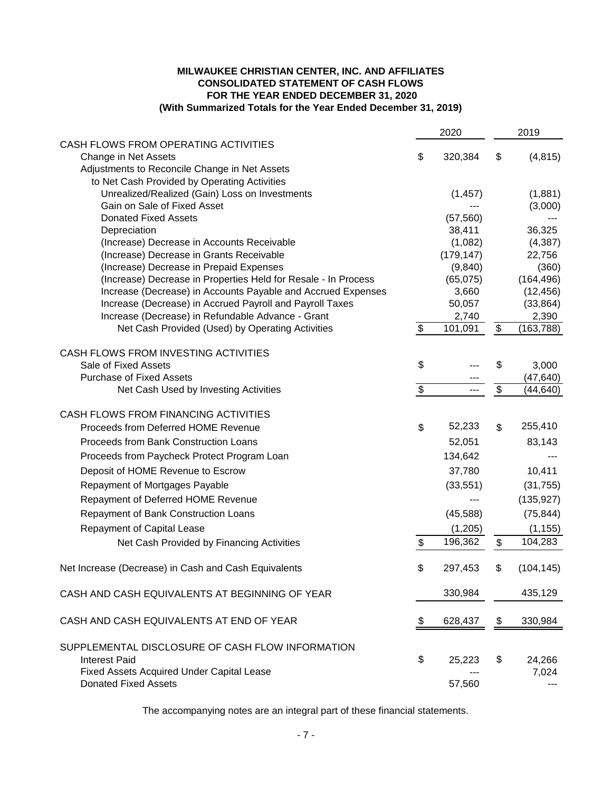# **MILWAUKEE CHRISTIAN CENTER, INC. AND AFFILIATES CONSOLIDATED STATEMENT OF CASH FLOWS FOR THE YEAR ENDED DECEMBER 31, 2020 (With Summarized Totals for the Year Ended December 31, 2019)**

| CASH FLOWS FROM OPERATING ACTIVITIES<br>\$<br>Change in Net Assets<br>320,384<br>(4, 815)<br>\$<br>Adjustments to Reconcile Change in Net Assets<br>to Net Cash Provided by Operating Activities<br>Unrealized/Realized (Gain) Loss on Investments<br>(1,881)<br>(1, 457)<br>Gain on Sale of Fixed Asset<br>(3,000)<br><b>Donated Fixed Assets</b><br>(57, 560)<br>38,411<br>36,325<br>Depreciation<br>(1,082)<br>(Increase) Decrease in Accounts Receivable<br>(4,387)<br>(179, 147)<br>(Increase) Decrease in Grants Receivable<br>22,756<br>(Increase) Decrease in Prepaid Expenses<br>(9, 840)<br>(360)<br>(164, 496)<br>(Increase) Decrease in Properties Held for Resale - In Process<br>(65,075)<br>Increase (Decrease) in Accounts Payable and Accrued Expenses<br>3,660<br>(12, 456)<br>Increase (Decrease) in Accrued Payroll and Payroll Taxes<br>50,057<br>(33, 864)<br>Increase (Decrease) in Refundable Advance - Grant<br>2,740<br>2,390<br>\$<br>Net Cash Provided (Used) by Operating Activities<br>\$<br>101,091<br>(163,788)<br>CASH FLOWS FROM INVESTING ACTIVITIES<br>\$<br>Sale of Fixed Assets<br>\$<br>3,000<br><b>Purchase of Fixed Assets</b><br>(47, 640)<br>$\overline{\mathcal{G}}$<br>$\overline{\mathbf{s}}$<br>Net Cash Used by Investing Activities<br>(44, 640)<br>CASH FLOWS FROM FINANCING ACTIVITIES<br>52,233<br>255,410<br>\$<br>Proceeds from Deferred HOME Revenue<br>\$<br>Proceeds from Bank Construction Loans<br>52,051<br>83,143<br>Proceeds from Paycheck Protect Program Loan<br>134,642<br>37,780<br>Deposit of HOME Revenue to Escrow<br>10,411<br>Repayment of Mortgages Payable<br>(33, 551)<br>(31, 755)<br>Repayment of Deferred HOME Revenue<br>(135, 927)<br>(75, 844)<br>Repayment of Bank Construction Loans<br>(45,588)<br>Repayment of Capital Lease<br>(1,205)<br>(1, 155)<br>196,362<br>104,283<br>$\mathfrak{L}$<br>\$<br>Net Cash Provided by Financing Activities<br>Net Increase (Decrease) in Cash and Cash Equivalents<br>(104, 145)<br>297,453<br>Φ<br>ъ<br>330,984<br>435,129<br>CASH AND CASH EQUIVALENTS AT BEGINNING OF YEAR<br>CASH AND CASH EQUIVALENTS AT END OF YEAR<br>\$<br>628,437<br>330,984<br>\$<br>SUPPLEMENTAL DISCLOSURE OF CASH FLOW INFORMATION<br>\$<br><b>Interest Paid</b><br>25,223<br>24,266<br>\$<br>Fixed Assets Acquired Under Capital Lease<br>7,024<br><b>Donated Fixed Assets</b><br>57,560 |  | 2020 | 2019 |
|------------------------------------------------------------------------------------------------------------------------------------------------------------------------------------------------------------------------------------------------------------------------------------------------------------------------------------------------------------------------------------------------------------------------------------------------------------------------------------------------------------------------------------------------------------------------------------------------------------------------------------------------------------------------------------------------------------------------------------------------------------------------------------------------------------------------------------------------------------------------------------------------------------------------------------------------------------------------------------------------------------------------------------------------------------------------------------------------------------------------------------------------------------------------------------------------------------------------------------------------------------------------------------------------------------------------------------------------------------------------------------------------------------------------------------------------------------------------------------------------------------------------------------------------------------------------------------------------------------------------------------------------------------------------------------------------------------------------------------------------------------------------------------------------------------------------------------------------------------------------------------------------------------------------------------------------------------------------------------------------------------------------------------------------------------------------------------------------------------------------------------------------------------------------------------------------------------------------------------------------------------------------------------------------------------------------------------------------------------------------------------------------|--|------|------|
|                                                                                                                                                                                                                                                                                                                                                                                                                                                                                                                                                                                                                                                                                                                                                                                                                                                                                                                                                                                                                                                                                                                                                                                                                                                                                                                                                                                                                                                                                                                                                                                                                                                                                                                                                                                                                                                                                                                                                                                                                                                                                                                                                                                                                                                                                                                                                                                                |  |      |      |
|                                                                                                                                                                                                                                                                                                                                                                                                                                                                                                                                                                                                                                                                                                                                                                                                                                                                                                                                                                                                                                                                                                                                                                                                                                                                                                                                                                                                                                                                                                                                                                                                                                                                                                                                                                                                                                                                                                                                                                                                                                                                                                                                                                                                                                                                                                                                                                                                |  |      |      |
|                                                                                                                                                                                                                                                                                                                                                                                                                                                                                                                                                                                                                                                                                                                                                                                                                                                                                                                                                                                                                                                                                                                                                                                                                                                                                                                                                                                                                                                                                                                                                                                                                                                                                                                                                                                                                                                                                                                                                                                                                                                                                                                                                                                                                                                                                                                                                                                                |  |      |      |
|                                                                                                                                                                                                                                                                                                                                                                                                                                                                                                                                                                                                                                                                                                                                                                                                                                                                                                                                                                                                                                                                                                                                                                                                                                                                                                                                                                                                                                                                                                                                                                                                                                                                                                                                                                                                                                                                                                                                                                                                                                                                                                                                                                                                                                                                                                                                                                                                |  |      |      |
|                                                                                                                                                                                                                                                                                                                                                                                                                                                                                                                                                                                                                                                                                                                                                                                                                                                                                                                                                                                                                                                                                                                                                                                                                                                                                                                                                                                                                                                                                                                                                                                                                                                                                                                                                                                                                                                                                                                                                                                                                                                                                                                                                                                                                                                                                                                                                                                                |  |      |      |
|                                                                                                                                                                                                                                                                                                                                                                                                                                                                                                                                                                                                                                                                                                                                                                                                                                                                                                                                                                                                                                                                                                                                                                                                                                                                                                                                                                                                                                                                                                                                                                                                                                                                                                                                                                                                                                                                                                                                                                                                                                                                                                                                                                                                                                                                                                                                                                                                |  |      |      |
|                                                                                                                                                                                                                                                                                                                                                                                                                                                                                                                                                                                                                                                                                                                                                                                                                                                                                                                                                                                                                                                                                                                                                                                                                                                                                                                                                                                                                                                                                                                                                                                                                                                                                                                                                                                                                                                                                                                                                                                                                                                                                                                                                                                                                                                                                                                                                                                                |  |      |      |
|                                                                                                                                                                                                                                                                                                                                                                                                                                                                                                                                                                                                                                                                                                                                                                                                                                                                                                                                                                                                                                                                                                                                                                                                                                                                                                                                                                                                                                                                                                                                                                                                                                                                                                                                                                                                                                                                                                                                                                                                                                                                                                                                                                                                                                                                                                                                                                                                |  |      |      |
|                                                                                                                                                                                                                                                                                                                                                                                                                                                                                                                                                                                                                                                                                                                                                                                                                                                                                                                                                                                                                                                                                                                                                                                                                                                                                                                                                                                                                                                                                                                                                                                                                                                                                                                                                                                                                                                                                                                                                                                                                                                                                                                                                                                                                                                                                                                                                                                                |  |      |      |
|                                                                                                                                                                                                                                                                                                                                                                                                                                                                                                                                                                                                                                                                                                                                                                                                                                                                                                                                                                                                                                                                                                                                                                                                                                                                                                                                                                                                                                                                                                                                                                                                                                                                                                                                                                                                                                                                                                                                                                                                                                                                                                                                                                                                                                                                                                                                                                                                |  |      |      |
|                                                                                                                                                                                                                                                                                                                                                                                                                                                                                                                                                                                                                                                                                                                                                                                                                                                                                                                                                                                                                                                                                                                                                                                                                                                                                                                                                                                                                                                                                                                                                                                                                                                                                                                                                                                                                                                                                                                                                                                                                                                                                                                                                                                                                                                                                                                                                                                                |  |      |      |
|                                                                                                                                                                                                                                                                                                                                                                                                                                                                                                                                                                                                                                                                                                                                                                                                                                                                                                                                                                                                                                                                                                                                                                                                                                                                                                                                                                                                                                                                                                                                                                                                                                                                                                                                                                                                                                                                                                                                                                                                                                                                                                                                                                                                                                                                                                                                                                                                |  |      |      |
|                                                                                                                                                                                                                                                                                                                                                                                                                                                                                                                                                                                                                                                                                                                                                                                                                                                                                                                                                                                                                                                                                                                                                                                                                                                                                                                                                                                                                                                                                                                                                                                                                                                                                                                                                                                                                                                                                                                                                                                                                                                                                                                                                                                                                                                                                                                                                                                                |  |      |      |
|                                                                                                                                                                                                                                                                                                                                                                                                                                                                                                                                                                                                                                                                                                                                                                                                                                                                                                                                                                                                                                                                                                                                                                                                                                                                                                                                                                                                                                                                                                                                                                                                                                                                                                                                                                                                                                                                                                                                                                                                                                                                                                                                                                                                                                                                                                                                                                                                |  |      |      |
|                                                                                                                                                                                                                                                                                                                                                                                                                                                                                                                                                                                                                                                                                                                                                                                                                                                                                                                                                                                                                                                                                                                                                                                                                                                                                                                                                                                                                                                                                                                                                                                                                                                                                                                                                                                                                                                                                                                                                                                                                                                                                                                                                                                                                                                                                                                                                                                                |  |      |      |
|                                                                                                                                                                                                                                                                                                                                                                                                                                                                                                                                                                                                                                                                                                                                                                                                                                                                                                                                                                                                                                                                                                                                                                                                                                                                                                                                                                                                                                                                                                                                                                                                                                                                                                                                                                                                                                                                                                                                                                                                                                                                                                                                                                                                                                                                                                                                                                                                |  |      |      |
|                                                                                                                                                                                                                                                                                                                                                                                                                                                                                                                                                                                                                                                                                                                                                                                                                                                                                                                                                                                                                                                                                                                                                                                                                                                                                                                                                                                                                                                                                                                                                                                                                                                                                                                                                                                                                                                                                                                                                                                                                                                                                                                                                                                                                                                                                                                                                                                                |  |      |      |
|                                                                                                                                                                                                                                                                                                                                                                                                                                                                                                                                                                                                                                                                                                                                                                                                                                                                                                                                                                                                                                                                                                                                                                                                                                                                                                                                                                                                                                                                                                                                                                                                                                                                                                                                                                                                                                                                                                                                                                                                                                                                                                                                                                                                                                                                                                                                                                                                |  |      |      |
|                                                                                                                                                                                                                                                                                                                                                                                                                                                                                                                                                                                                                                                                                                                                                                                                                                                                                                                                                                                                                                                                                                                                                                                                                                                                                                                                                                                                                                                                                                                                                                                                                                                                                                                                                                                                                                                                                                                                                                                                                                                                                                                                                                                                                                                                                                                                                                                                |  |      |      |
|                                                                                                                                                                                                                                                                                                                                                                                                                                                                                                                                                                                                                                                                                                                                                                                                                                                                                                                                                                                                                                                                                                                                                                                                                                                                                                                                                                                                                                                                                                                                                                                                                                                                                                                                                                                                                                                                                                                                                                                                                                                                                                                                                                                                                                                                                                                                                                                                |  |      |      |
|                                                                                                                                                                                                                                                                                                                                                                                                                                                                                                                                                                                                                                                                                                                                                                                                                                                                                                                                                                                                                                                                                                                                                                                                                                                                                                                                                                                                                                                                                                                                                                                                                                                                                                                                                                                                                                                                                                                                                                                                                                                                                                                                                                                                                                                                                                                                                                                                |  |      |      |
|                                                                                                                                                                                                                                                                                                                                                                                                                                                                                                                                                                                                                                                                                                                                                                                                                                                                                                                                                                                                                                                                                                                                                                                                                                                                                                                                                                                                                                                                                                                                                                                                                                                                                                                                                                                                                                                                                                                                                                                                                                                                                                                                                                                                                                                                                                                                                                                                |  |      |      |
|                                                                                                                                                                                                                                                                                                                                                                                                                                                                                                                                                                                                                                                                                                                                                                                                                                                                                                                                                                                                                                                                                                                                                                                                                                                                                                                                                                                                                                                                                                                                                                                                                                                                                                                                                                                                                                                                                                                                                                                                                                                                                                                                                                                                                                                                                                                                                                                                |  |      |      |
|                                                                                                                                                                                                                                                                                                                                                                                                                                                                                                                                                                                                                                                                                                                                                                                                                                                                                                                                                                                                                                                                                                                                                                                                                                                                                                                                                                                                                                                                                                                                                                                                                                                                                                                                                                                                                                                                                                                                                                                                                                                                                                                                                                                                                                                                                                                                                                                                |  |      |      |
|                                                                                                                                                                                                                                                                                                                                                                                                                                                                                                                                                                                                                                                                                                                                                                                                                                                                                                                                                                                                                                                                                                                                                                                                                                                                                                                                                                                                                                                                                                                                                                                                                                                                                                                                                                                                                                                                                                                                                                                                                                                                                                                                                                                                                                                                                                                                                                                                |  |      |      |
|                                                                                                                                                                                                                                                                                                                                                                                                                                                                                                                                                                                                                                                                                                                                                                                                                                                                                                                                                                                                                                                                                                                                                                                                                                                                                                                                                                                                                                                                                                                                                                                                                                                                                                                                                                                                                                                                                                                                                                                                                                                                                                                                                                                                                                                                                                                                                                                                |  |      |      |
|                                                                                                                                                                                                                                                                                                                                                                                                                                                                                                                                                                                                                                                                                                                                                                                                                                                                                                                                                                                                                                                                                                                                                                                                                                                                                                                                                                                                                                                                                                                                                                                                                                                                                                                                                                                                                                                                                                                                                                                                                                                                                                                                                                                                                                                                                                                                                                                                |  |      |      |
|                                                                                                                                                                                                                                                                                                                                                                                                                                                                                                                                                                                                                                                                                                                                                                                                                                                                                                                                                                                                                                                                                                                                                                                                                                                                                                                                                                                                                                                                                                                                                                                                                                                                                                                                                                                                                                                                                                                                                                                                                                                                                                                                                                                                                                                                                                                                                                                                |  |      |      |
|                                                                                                                                                                                                                                                                                                                                                                                                                                                                                                                                                                                                                                                                                                                                                                                                                                                                                                                                                                                                                                                                                                                                                                                                                                                                                                                                                                                                                                                                                                                                                                                                                                                                                                                                                                                                                                                                                                                                                                                                                                                                                                                                                                                                                                                                                                                                                                                                |  |      |      |
|                                                                                                                                                                                                                                                                                                                                                                                                                                                                                                                                                                                                                                                                                                                                                                                                                                                                                                                                                                                                                                                                                                                                                                                                                                                                                                                                                                                                                                                                                                                                                                                                                                                                                                                                                                                                                                                                                                                                                                                                                                                                                                                                                                                                                                                                                                                                                                                                |  |      |      |
|                                                                                                                                                                                                                                                                                                                                                                                                                                                                                                                                                                                                                                                                                                                                                                                                                                                                                                                                                                                                                                                                                                                                                                                                                                                                                                                                                                                                                                                                                                                                                                                                                                                                                                                                                                                                                                                                                                                                                                                                                                                                                                                                                                                                                                                                                                                                                                                                |  |      |      |
|                                                                                                                                                                                                                                                                                                                                                                                                                                                                                                                                                                                                                                                                                                                                                                                                                                                                                                                                                                                                                                                                                                                                                                                                                                                                                                                                                                                                                                                                                                                                                                                                                                                                                                                                                                                                                                                                                                                                                                                                                                                                                                                                                                                                                                                                                                                                                                                                |  |      |      |
|                                                                                                                                                                                                                                                                                                                                                                                                                                                                                                                                                                                                                                                                                                                                                                                                                                                                                                                                                                                                                                                                                                                                                                                                                                                                                                                                                                                                                                                                                                                                                                                                                                                                                                                                                                                                                                                                                                                                                                                                                                                                                                                                                                                                                                                                                                                                                                                                |  |      |      |
|                                                                                                                                                                                                                                                                                                                                                                                                                                                                                                                                                                                                                                                                                                                                                                                                                                                                                                                                                                                                                                                                                                                                                                                                                                                                                                                                                                                                                                                                                                                                                                                                                                                                                                                                                                                                                                                                                                                                                                                                                                                                                                                                                                                                                                                                                                                                                                                                |  |      |      |
|                                                                                                                                                                                                                                                                                                                                                                                                                                                                                                                                                                                                                                                                                                                                                                                                                                                                                                                                                                                                                                                                                                                                                                                                                                                                                                                                                                                                                                                                                                                                                                                                                                                                                                                                                                                                                                                                                                                                                                                                                                                                                                                                                                                                                                                                                                                                                                                                |  |      |      |
|                                                                                                                                                                                                                                                                                                                                                                                                                                                                                                                                                                                                                                                                                                                                                                                                                                                                                                                                                                                                                                                                                                                                                                                                                                                                                                                                                                                                                                                                                                                                                                                                                                                                                                                                                                                                                                                                                                                                                                                                                                                                                                                                                                                                                                                                                                                                                                                                |  |      |      |
|                                                                                                                                                                                                                                                                                                                                                                                                                                                                                                                                                                                                                                                                                                                                                                                                                                                                                                                                                                                                                                                                                                                                                                                                                                                                                                                                                                                                                                                                                                                                                                                                                                                                                                                                                                                                                                                                                                                                                                                                                                                                                                                                                                                                                                                                                                                                                                                                |  |      |      |
|                                                                                                                                                                                                                                                                                                                                                                                                                                                                                                                                                                                                                                                                                                                                                                                                                                                                                                                                                                                                                                                                                                                                                                                                                                                                                                                                                                                                                                                                                                                                                                                                                                                                                                                                                                                                                                                                                                                                                                                                                                                                                                                                                                                                                                                                                                                                                                                                |  |      |      |
|                                                                                                                                                                                                                                                                                                                                                                                                                                                                                                                                                                                                                                                                                                                                                                                                                                                                                                                                                                                                                                                                                                                                                                                                                                                                                                                                                                                                                                                                                                                                                                                                                                                                                                                                                                                                                                                                                                                                                                                                                                                                                                                                                                                                                                                                                                                                                                                                |  |      |      |
|                                                                                                                                                                                                                                                                                                                                                                                                                                                                                                                                                                                                                                                                                                                                                                                                                                                                                                                                                                                                                                                                                                                                                                                                                                                                                                                                                                                                                                                                                                                                                                                                                                                                                                                                                                                                                                                                                                                                                                                                                                                                                                                                                                                                                                                                                                                                                                                                |  |      |      |
|                                                                                                                                                                                                                                                                                                                                                                                                                                                                                                                                                                                                                                                                                                                                                                                                                                                                                                                                                                                                                                                                                                                                                                                                                                                                                                                                                                                                                                                                                                                                                                                                                                                                                                                                                                                                                                                                                                                                                                                                                                                                                                                                                                                                                                                                                                                                                                                                |  |      |      |
|                                                                                                                                                                                                                                                                                                                                                                                                                                                                                                                                                                                                                                                                                                                                                                                                                                                                                                                                                                                                                                                                                                                                                                                                                                                                                                                                                                                                                                                                                                                                                                                                                                                                                                                                                                                                                                                                                                                                                                                                                                                                                                                                                                                                                                                                                                                                                                                                |  |      |      |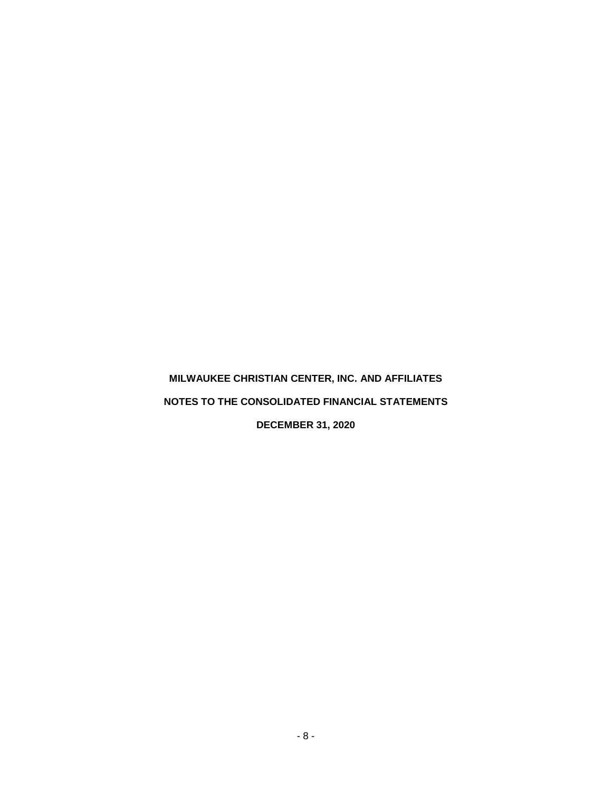**DECEMBER 31, 2020**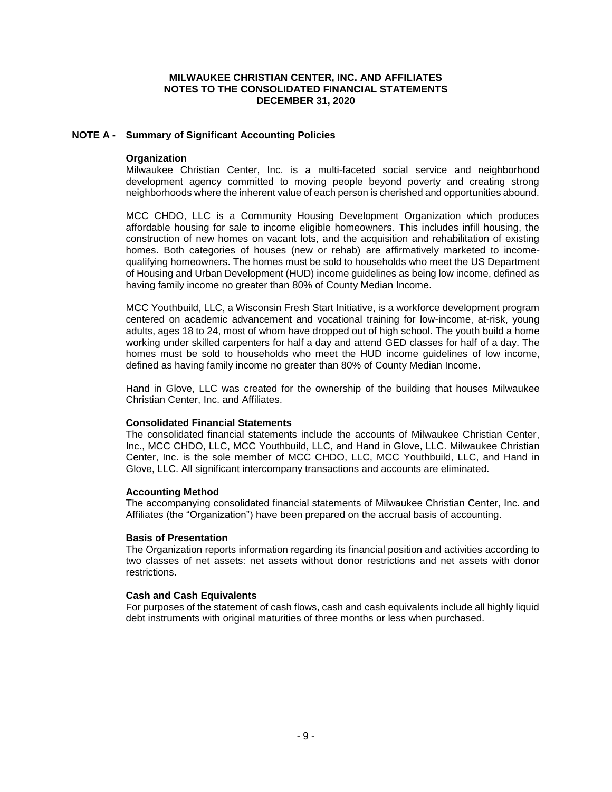## **NOTE A - Summary of Significant Accounting Policies**

#### **Organization**

Milwaukee Christian Center, Inc. is a multi-faceted social service and neighborhood development agency committed to moving people beyond poverty and creating strong neighborhoods where the inherent value of each person is cherished and opportunities abound.

MCC CHDO, LLC is a Community Housing Development Organization which produces affordable housing for sale to income eligible homeowners. This includes infill housing, the construction of new homes on vacant lots, and the acquisition and rehabilitation of existing homes. Both categories of houses (new or rehab) are affirmatively marketed to incomequalifying homeowners. The homes must be sold to households who meet the US Department of Housing and Urban Development (HUD) income guidelines as being low income, defined as having family income no greater than 80% of County Median Income.

MCC Youthbuild, LLC, a Wisconsin Fresh Start Initiative, is a workforce development program centered on academic advancement and vocational training for low-income, at-risk, young adults, ages 18 to 24, most of whom have dropped out of high school. The youth build a home working under skilled carpenters for half a day and attend GED classes for half of a day. The homes must be sold to households who meet the HUD income guidelines of low income, defined as having family income no greater than 80% of County Median Income.

Hand in Glove, LLC was created for the ownership of the building that houses Milwaukee Christian Center, Inc. and Affiliates.

#### **Consolidated Financial Statements**

The consolidated financial statements include the accounts of Milwaukee Christian Center, Inc., MCC CHDO, LLC, MCC Youthbuild, LLC, and Hand in Glove, LLC. Milwaukee Christian Center, Inc. is the sole member of MCC CHDO, LLC, MCC Youthbuild, LLC, and Hand in Glove, LLC. All significant intercompany transactions and accounts are eliminated.

#### **Accounting Method**

The accompanying consolidated financial statements of Milwaukee Christian Center, Inc. and Affiliates (the "Organization") have been prepared on the accrual basis of accounting.

#### **Basis of Presentation**

The Organization reports information regarding its financial position and activities according to two classes of net assets: net assets without donor restrictions and net assets with donor restrictions.

#### **Cash and Cash Equivalents**

For purposes of the statement of cash flows, cash and cash equivalents include all highly liquid debt instruments with original maturities of three months or less when purchased.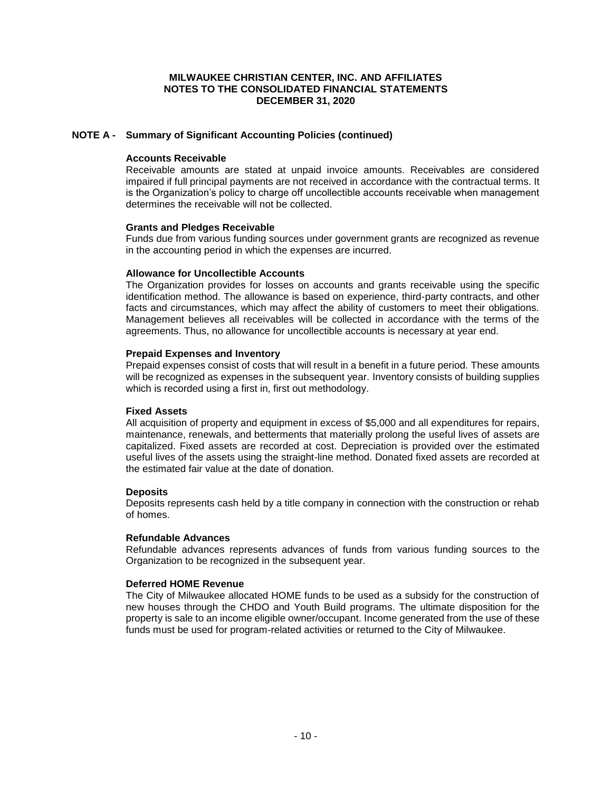# **NOTE A - Summary of Significant Accounting Policies (continued)**

#### **Accounts Receivable**

Receivable amounts are stated at unpaid invoice amounts. Receivables are considered impaired if full principal payments are not received in accordance with the contractual terms. It is the Organization's policy to charge off uncollectible accounts receivable when management determines the receivable will not be collected.

#### **Grants and Pledges Receivable**

Funds due from various funding sources under government grants are recognized as revenue in the accounting period in which the expenses are incurred.

#### **Allowance for Uncollectible Accounts**

The Organization provides for losses on accounts and grants receivable using the specific identification method. The allowance is based on experience, third-party contracts, and other facts and circumstances, which may affect the ability of customers to meet their obligations. Management believes all receivables will be collected in accordance with the terms of the agreements. Thus, no allowance for uncollectible accounts is necessary at year end.

#### **Prepaid Expenses and Inventory**

Prepaid expenses consist of costs that will result in a benefit in a future period. These amounts will be recognized as expenses in the subsequent year. Inventory consists of building supplies which is recorded using a first in, first out methodology.

#### **Fixed Assets**

All acquisition of property and equipment in excess of \$5,000 and all expenditures for repairs, maintenance, renewals, and betterments that materially prolong the useful lives of assets are capitalized. Fixed assets are recorded at cost. Depreciation is provided over the estimated useful lives of the assets using the straight-line method. Donated fixed assets are recorded at the estimated fair value at the date of donation.

#### **Deposits**

Deposits represents cash held by a title company in connection with the construction or rehab of homes.

#### **Refundable Advances**

Refundable advances represents advances of funds from various funding sources to the Organization to be recognized in the subsequent year.

#### **Deferred HOME Revenue**

The City of Milwaukee allocated HOME funds to be used as a subsidy for the construction of new houses through the CHDO and Youth Build programs. The ultimate disposition for the property is sale to an income eligible owner/occupant. Income generated from the use of these funds must be used for program-related activities or returned to the City of Milwaukee.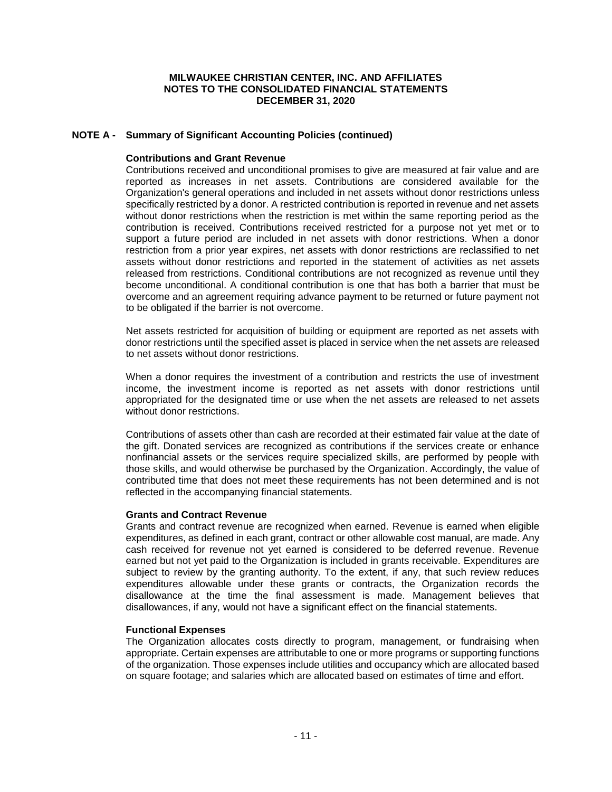## **NOTE A - Summary of Significant Accounting Policies (continued)**

#### **Contributions and Grant Revenue**

Contributions received and unconditional promises to give are measured at fair value and are reported as increases in net assets. Contributions are considered available for the Organization's general operations and included in net assets without donor restrictions unless specifically restricted by a donor. A restricted contribution is reported in revenue and net assets without donor restrictions when the restriction is met within the same reporting period as the contribution is received. Contributions received restricted for a purpose not yet met or to support a future period are included in net assets with donor restrictions. When a donor restriction from a prior year expires, net assets with donor restrictions are reclassified to net assets without donor restrictions and reported in the statement of activities as net assets released from restrictions. Conditional contributions are not recognized as revenue until they become unconditional. A conditional contribution is one that has both a barrier that must be overcome and an agreement requiring advance payment to be returned or future payment not to be obligated if the barrier is not overcome.

Net assets restricted for acquisition of building or equipment are reported as net assets with donor restrictions until the specified asset is placed in service when the net assets are released to net assets without donor restrictions.

When a donor requires the investment of a contribution and restricts the use of investment income, the investment income is reported as net assets with donor restrictions until appropriated for the designated time or use when the net assets are released to net assets without donor restrictions.

Contributions of assets other than cash are recorded at their estimated fair value at the date of the gift. Donated services are recognized as contributions if the services create or enhance nonfinancial assets or the services require specialized skills, are performed by people with those skills, and would otherwise be purchased by the Organization. Accordingly, the value of contributed time that does not meet these requirements has not been determined and is not reflected in the accompanying financial statements.

#### **Grants and Contract Revenue**

Grants and contract revenue are recognized when earned. Revenue is earned when eligible expenditures, as defined in each grant, contract or other allowable cost manual, are made. Any cash received for revenue not yet earned is considered to be deferred revenue. Revenue earned but not yet paid to the Organization is included in grants receivable. Expenditures are subject to review by the granting authority. To the extent, if any, that such review reduces expenditures allowable under these grants or contracts, the Organization records the disallowance at the time the final assessment is made. Management believes that disallowances, if any, would not have a significant effect on the financial statements.

#### **Functional Expenses**

The Organization allocates costs directly to program, management, or fundraising when appropriate. Certain expenses are attributable to one or more programs or supporting functions of the organization. Those expenses include utilities and occupancy which are allocated based on square footage; and salaries which are allocated based on estimates of time and effort.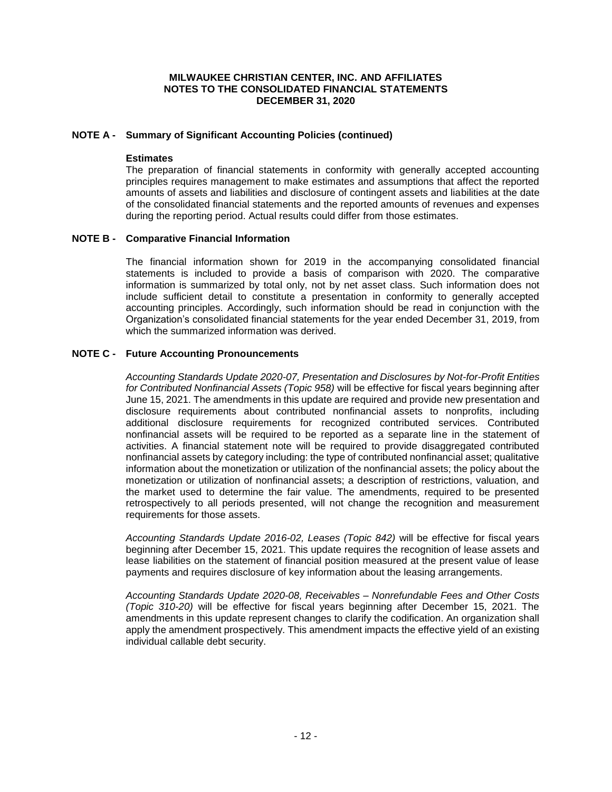# **NOTE A - Summary of Significant Accounting Policies (continued)**

#### **Estimates**

The preparation of financial statements in conformity with generally accepted accounting principles requires management to make estimates and assumptions that affect the reported amounts of assets and liabilities and disclosure of contingent assets and liabilities at the date of the consolidated financial statements and the reported amounts of revenues and expenses during the reporting period. Actual results could differ from those estimates.

#### **NOTE B - Comparative Financial Information**

The financial information shown for 2019 in the accompanying consolidated financial statements is included to provide a basis of comparison with 2020. The comparative information is summarized by total only, not by net asset class. Such information does not include sufficient detail to constitute a presentation in conformity to generally accepted accounting principles. Accordingly, such information should be read in conjunction with the Organization's consolidated financial statements for the year ended December 31, 2019, from which the summarized information was derived.

# **NOTE C - Future Accounting Pronouncements**

*Accounting Standards Update 2020-07, Presentation and Disclosures by Not-for-Profit Entities for Contributed Nonfinancial Assets (Topic 958)* will be effective for fiscal years beginning after June 15, 2021. The amendments in this update are required and provide new presentation and disclosure requirements about contributed nonfinancial assets to nonprofits, including additional disclosure requirements for recognized contributed services. Contributed nonfinancial assets will be required to be reported as a separate line in the statement of activities. A financial statement note will be required to provide disaggregated contributed nonfinancial assets by category including: the type of contributed nonfinancial asset; qualitative information about the monetization or utilization of the nonfinancial assets; the policy about the monetization or utilization of nonfinancial assets; a description of restrictions, valuation, and the market used to determine the fair value. The amendments, required to be presented retrospectively to all periods presented, will not change the recognition and measurement requirements for those assets.

*Accounting Standards Update 2016-02, Leases (Topic 842)* will be effective for fiscal years beginning after December 15, 2021. This update requires the recognition of lease assets and lease liabilities on the statement of financial position measured at the present value of lease payments and requires disclosure of key information about the leasing arrangements.

*Accounting Standards Update 2020-08, Receivables – Nonrefundable Fees and Other Costs (Topic 310-20)* will be effective for fiscal years beginning after December 15, 2021. The amendments in this update represent changes to clarify the codification. An organization shall apply the amendment prospectively. This amendment impacts the effective yield of an existing individual callable debt security.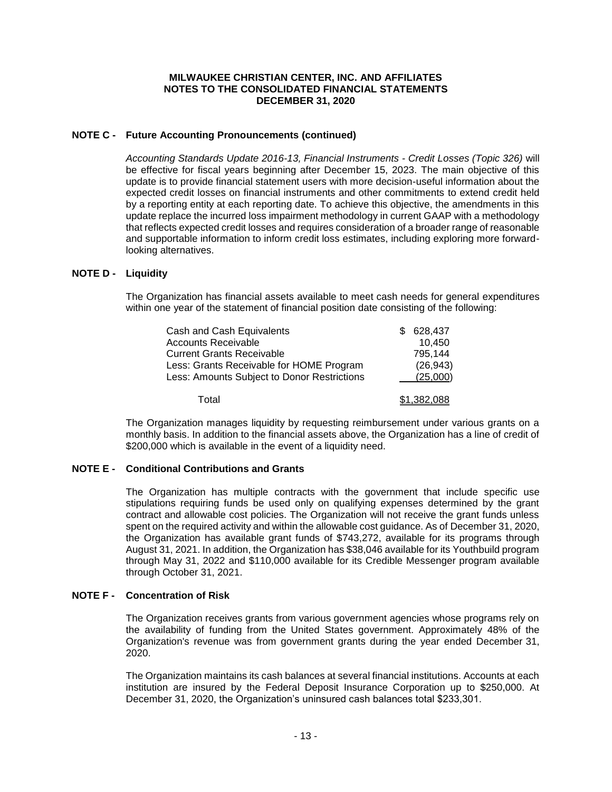## **NOTE C - Future Accounting Pronouncements (continued)**

*Accounting Standards Update 2016-13, Financial Instruments - Credit Losses (Topic 326)* will be effective for fiscal years beginning after December 15, 2023. The main objective of this update is to provide financial statement users with more decision-useful information about the expected credit losses on financial instruments and other commitments to extend credit held by a reporting entity at each reporting date. To achieve this objective, the amendments in this update replace the incurred loss impairment methodology in current GAAP with a methodology that reflects expected credit losses and requires consideration of a broader range of reasonable and supportable information to inform credit loss estimates, including exploring more forwardlooking alternatives.

#### **NOTE D - Liquidity**

The Organization has financial assets available to meet cash needs for general expenditures within one year of the statement of financial position date consisting of the following:

| Cash and Cash Equivalents                   | 628,437     |
|---------------------------------------------|-------------|
| <b>Accounts Receivable</b>                  | 10,450      |
| <b>Current Grants Receivable</b>            | 795.144     |
| Less: Grants Receivable for HOME Program    | (26, 943)   |
| Less: Amounts Subject to Donor Restrictions | (25,000)    |
| Total                                       | \$1,382,088 |

The Organization manages liquidity by requesting reimbursement under various grants on a monthly basis. In addition to the financial assets above, the Organization has a line of credit of \$200,000 which is available in the event of a liquidity need.

## **NOTE E - Conditional Contributions and Grants**

The Organization has multiple contracts with the government that include specific use stipulations requiring funds be used only on qualifying expenses determined by the grant contract and allowable cost policies. The Organization will not receive the grant funds unless spent on the required activity and within the allowable cost guidance. As of December 31, 2020, the Organization has available grant funds of \$743,272, available for its programs through August 31, 2021. In addition, the Organization has \$38,046 available for its Youthbuild program through May 31, 2022 and \$110,000 available for its Credible Messenger program available through October 31, 2021.

# **NOTE F - Concentration of Risk**

The Organization receives grants from various government agencies whose programs rely on the availability of funding from the United States government. Approximately 48% of the Organization's revenue was from government grants during the year ended December 31, 2020.

The Organization maintains its cash balances at several financial institutions. Accounts at each institution are insured by the Federal Deposit Insurance Corporation up to \$250,000. At December 31, 2020, the Organization's uninsured cash balances total \$233,301.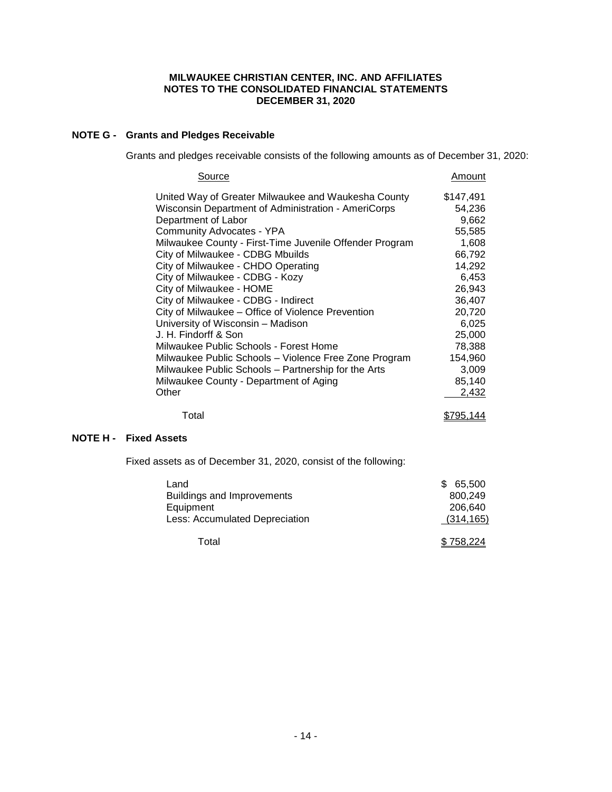# **NOTE G - Grants and Pledges Receivable**

Grants and pledges receivable consists of the following amounts as of December 31, 2020:

| Source                                                  | Amount    |
|---------------------------------------------------------|-----------|
| United Way of Greater Milwaukee and Waukesha County     | \$147,491 |
| Wisconsin Department of Administration - AmeriCorps     | 54,236    |
| Department of Labor                                     | 9,662     |
| Community Advocates - YPA                               | 55,585    |
| Milwaukee County - First-Time Juvenile Offender Program | 1,608     |
| City of Milwaukee - CDBG Mbuilds                        | 66,792    |
| City of Milwaukee - CHDO Operating                      | 14,292    |
| City of Milwaukee - CDBG - Kozy                         | 6,453     |
| City of Milwaukee - HOME                                | 26,943    |
| City of Milwaukee - CDBG - Indirect                     | 36,407    |
| City of Milwaukee – Office of Violence Prevention       | 20,720    |
| University of Wisconsin - Madison                       | 6,025     |
| J. H. Findorff & Son                                    | 25,000    |
| Milwaukee Public Schools - Forest Home                  | 78,388    |
| Milwaukee Public Schools - Violence Free Zone Program   | 154,960   |
| Milwaukee Public Schools - Partnership for the Arts     | 3,009     |
| Milwaukee County - Department of Aging                  | 85,140    |
| Other                                                   | 2,432     |
| Total                                                   | \$795,144 |

# **NOTE H - Fixed Assets**

Fixed assets as of December 31, 2020, consist of the following:

| Land                              | 65,500<br>\$. |
|-----------------------------------|---------------|
| <b>Buildings and Improvements</b> | 800.249       |
| Equipment                         | 206.640       |
| Less: Accumulated Depreciation    | (314, 165)    |
| Total                             | \$758.224     |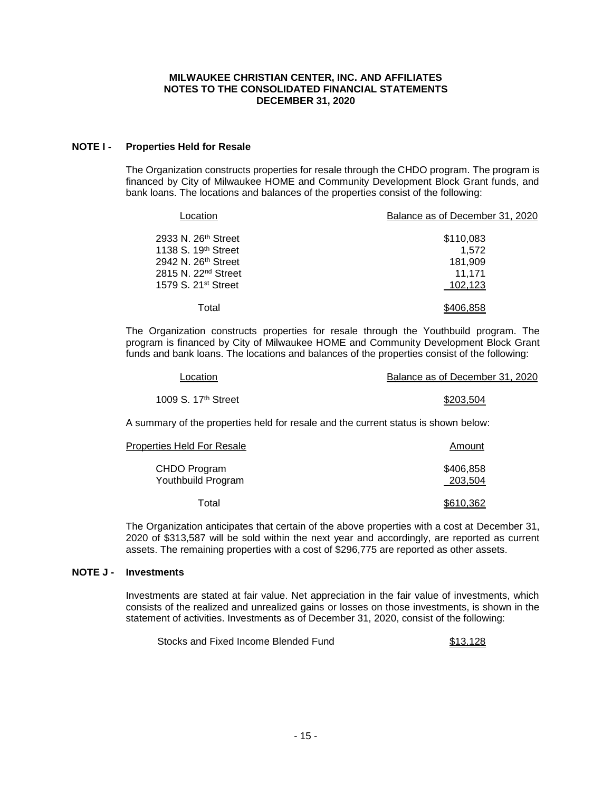## **NOTE I - Properties Held for Resale**

The Organization constructs properties for resale through the CHDO program. The program is financed by City of Milwaukee HOME and Community Development Block Grant funds, and bank loans. The locations and balances of the properties consist of the following:

| Location                                                           | Balance as of December 31, 2020 |
|--------------------------------------------------------------------|---------------------------------|
| 2933 N. 26 <sup>th</sup> Street<br>1138 S. 19 <sup>th</sup> Street | \$110,083<br>1.572              |
| 2942 N. 26 <sup>th</sup> Street<br>2815 N. 22 <sup>nd</sup> Street | 181.909<br>11,171               |
| 1579 S. 21 <sup>st</sup> Street                                    | 102.123                         |
| Total                                                              | 106.858                         |

The Organization constructs properties for resale through the Youthbuild program. The program is financed by City of Milwaukee HOME and Community Development Block Grant funds and bank loans. The locations and balances of the properties consist of the following:

| .ocation                                                                           | Balance as of December 31, 2020 |
|------------------------------------------------------------------------------------|---------------------------------|
| 1009 S. 17 <sup>th</sup> Street                                                    | \$203,504                       |
| A summary of the properties held for resale and the current status is shown below: |                                 |
| Properties Held For Resale                                                         | Amount                          |
| CHDO Program<br>Youthbuild Program                                                 | \$406,858<br>203,504            |
| Total                                                                              | \$610,362                       |

The Organization anticipates that certain of the above properties with a cost at December 31, 2020 of \$313,587 will be sold within the next year and accordingly, are reported as current assets. The remaining properties with a cost of \$296,775 are reported as other assets.

# **NOTE J - Investments**

Investments are stated at fair value. Net appreciation in the fair value of investments, which consists of the realized and unrealized gains or losses on those investments, is shown in the statement of activities. Investments as of December 31, 2020, consist of the following:

Stocks and Fixed Income Blended Fund **\$13,128**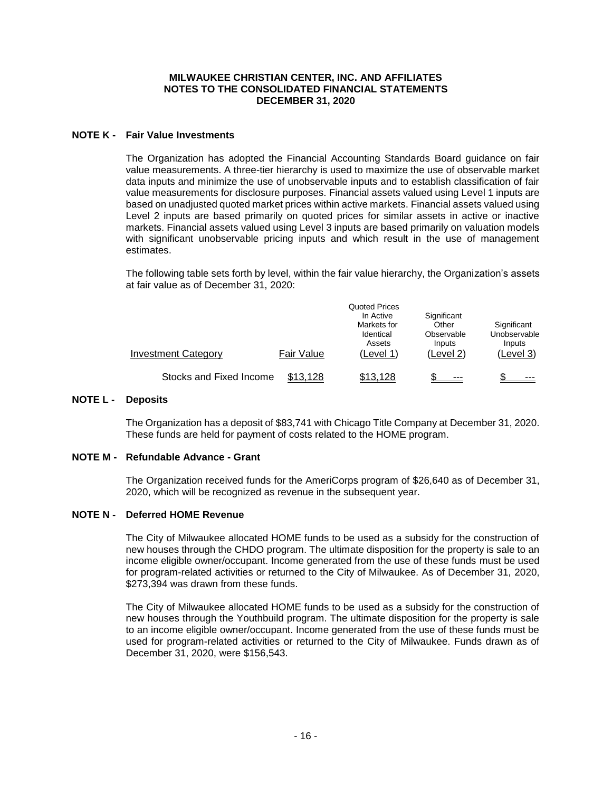## **NOTE K - Fair Value Investments**

The Organization has adopted the Financial Accounting Standards Board guidance on fair value measurements. A three-tier hierarchy is used to maximize the use of observable market data inputs and minimize the use of unobservable inputs and to establish classification of fair value measurements for disclosure purposes. Financial assets valued using Level 1 inputs are based on unadjusted quoted market prices within active markets. Financial assets valued using Level 2 inputs are based primarily on quoted prices for similar assets in active or inactive markets. Financial assets valued using Level 3 inputs are based primarily on valuation models with significant unobservable pricing inputs and which result in the use of management estimates.

The following table sets forth by level, within the fair value hierarchy, the Organization's assets at fair value as of December 31, 2020:

| <b>Investment Category</b> | Fair Value | <b>Quoted Prices</b><br>In Active<br>Markets for<br>Identical<br>Assets<br>(Level 1) | Significant<br>Other<br>Observable<br>Inputs<br>(Level 2) | Significant<br>Unobservable<br>Inputs<br>(Level 3) |
|----------------------------|------------|--------------------------------------------------------------------------------------|-----------------------------------------------------------|----------------------------------------------------|
| Stocks and Fixed Income    | \$13,128   | \$13,128                                                                             | $- - -$                                                   | ---                                                |

## **NOTE L - Deposits**

The Organization has a deposit of \$83,741 with Chicago Title Company at December 31, 2020. These funds are held for payment of costs related to the HOME program.

# **NOTE M - Refundable Advance - Grant**

The Organization received funds for the AmeriCorps program of \$26,640 as of December 31, 2020, which will be recognized as revenue in the subsequent year.

# **NOTE N - Deferred HOME Revenue**

The City of Milwaukee allocated HOME funds to be used as a subsidy for the construction of new houses through the CHDO program. The ultimate disposition for the property is sale to an income eligible owner/occupant. Income generated from the use of these funds must be used for program-related activities or returned to the City of Milwaukee. As of December 31, 2020, \$273,394 was drawn from these funds.

The City of Milwaukee allocated HOME funds to be used as a subsidy for the construction of new houses through the Youthbuild program. The ultimate disposition for the property is sale to an income eligible owner/occupant. Income generated from the use of these funds must be used for program-related activities or returned to the City of Milwaukee. Funds drawn as of December 31, 2020, were \$156,543.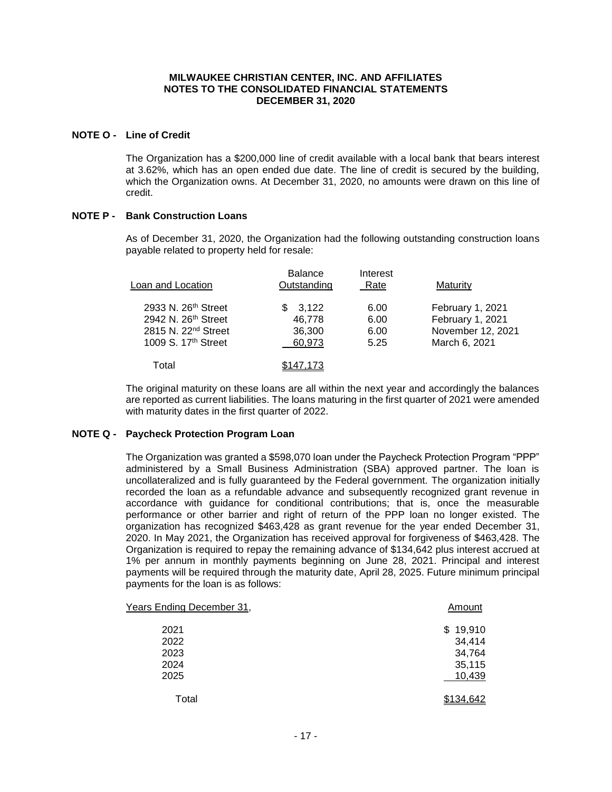## **NOTE O - Line of Credit**

The Organization has a \$200,000 line of credit available with a local bank that bears interest at 3.62%, which has an open ended due date. The line of credit is secured by the building, which the Organization owns. At December 31, 2020, no amounts were drawn on this line of credit.

# **NOTE P - Bank Construction Loans**

As of December 31, 2020, the Organization had the following outstanding construction loans payable related to property held for resale:

| Loan and Location               | <b>Balance</b><br>Outstanding | Interest<br>Rate | Maturity          |
|---------------------------------|-------------------------------|------------------|-------------------|
| 2933 N. 26th Street             | 3.122                         | 6.00             | February 1, 2021  |
| 2942 N. 26th Street             | 46,778                        | 6.00             | February 1, 2021  |
| 2815 N. 22 <sup>nd</sup> Street | 36,300                        | 6.00             | November 12, 2021 |
| 1009 S. 17th Street             | 60,973                        | 5.25             | March 6, 2021     |
| Total                           | \$147.173                     |                  |                   |

The original maturity on these loans are all within the next year and accordingly the balances are reported as current liabilities. The loans maturing in the first quarter of 2021 were amended with maturity dates in the first quarter of 2022.

# **NOTE Q - Paycheck Protection Program Loan**

The Organization was granted a \$598,070 loan under the Paycheck Protection Program "PPP" administered by a Small Business Administration (SBA) approved partner. The loan is uncollateralized and is fully guaranteed by the Federal government. The organization initially recorded the loan as a refundable advance and subsequently recognized grant revenue in accordance with guidance for conditional contributions; that is, once the measurable performance or other barrier and right of return of the PPP loan no longer existed. The organization has recognized \$463,428 as grant revenue for the year ended December 31, 2020. In May 2021, the Organization has received approval for forgiveness of \$463,428. The Organization is required to repay the remaining advance of \$134,642 plus interest accrued at 1% per annum in monthly payments beginning on June 28, 2021. Principal and interest payments will be required through the maturity date, April 28, 2025. Future minimum principal payments for the loan is as follows:

| Years Ending December 31, | Amount    |
|---------------------------|-----------|
| 2021                      | \$19,910  |
| 2022                      | 34,414    |
| 2023                      | 34,764    |
| 2024                      | 35,115    |
| 2025                      | 10,439    |
| Total                     | \$134,642 |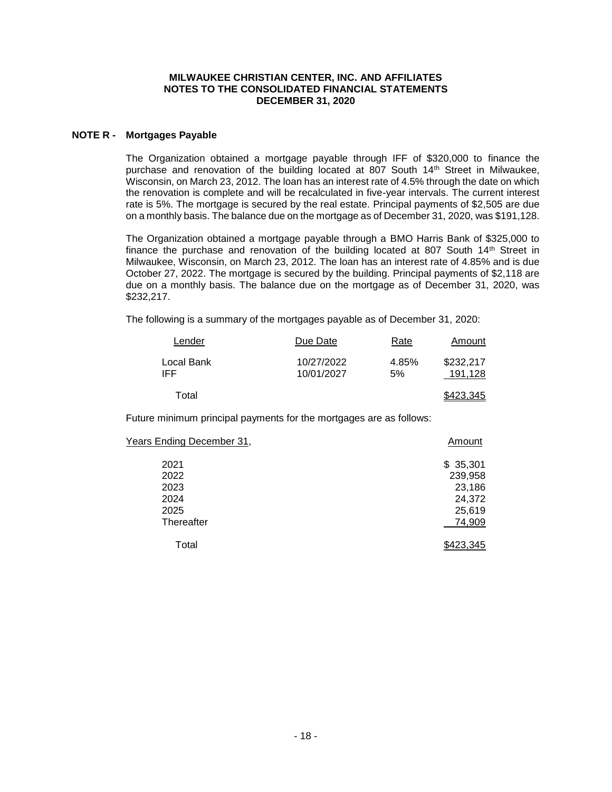## **NOTE R - Mortgages Payable**

The Organization obtained a mortgage payable through IFF of \$320,000 to finance the purchase and renovation of the building located at 807 South 14th Street in Milwaukee, Wisconsin, on March 23, 2012. The loan has an interest rate of 4.5% through the date on which the renovation is complete and will be recalculated in five-year intervals. The current interest rate is 5%. The mortgage is secured by the real estate. Principal payments of \$2,505 are due on a monthly basis. The balance due on the mortgage as of December 31, 2020, was \$191,128.

The Organization obtained a mortgage payable through a BMO Harris Bank of \$325,000 to finance the purchase and renovation of the building located at 807 South  $14<sup>th</sup>$  Street in Milwaukee, Wisconsin, on March 23, 2012. The loan has an interest rate of 4.85% and is due October 27, 2022. The mortgage is secured by the building. Principal payments of \$2,118 are due on a monthly basis. The balance due on the mortgage as of December 31, 2020, was \$232,217.

The following is a summary of the mortgages payable as of December 31, 2020:

| Lender            | Due Date                 | Rate         | Amount               |
|-------------------|--------------------------|--------------|----------------------|
| Local Bank<br>IFF | 10/27/2022<br>10/01/2027 | 4.85%<br>.5% | \$232,217<br>191.128 |
| Total             |                          |              | \$423.345            |

Future minimum principal payments for the mortgages are as follows:

| Years Ending December 31, | Amount    |
|---------------------------|-----------|
| 2021                      | \$35,301  |
| 2022                      | 239,958   |
| 2023                      | 23,186    |
| 2024                      | 24,372    |
| 2025                      | 25,619    |
| Thereafter                | 74,909    |
| Total                     | \$423.345 |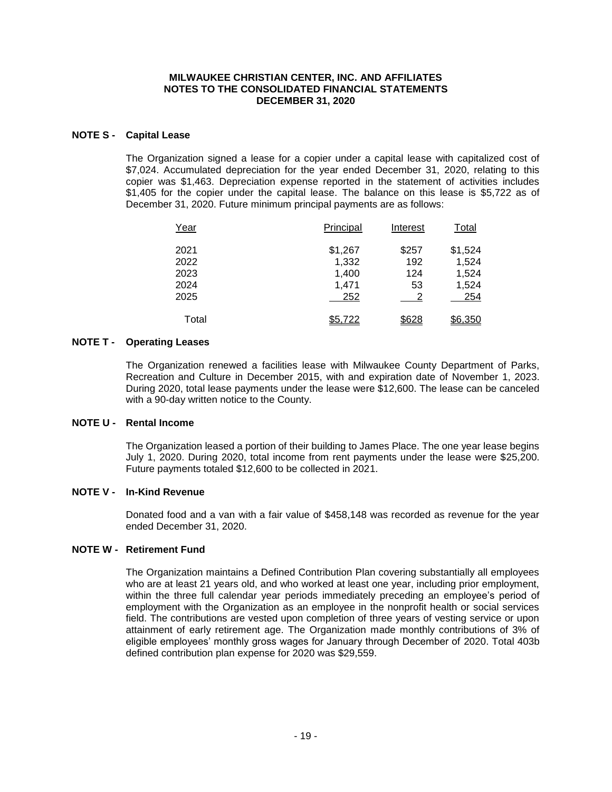## **NOTE S - Capital Lease**

The Organization signed a lease for a copier under a capital lease with capitalized cost of \$7,024. Accumulated depreciation for the year ended December 31, 2020, relating to this copier was \$1,463. Depreciation expense reported in the statement of activities includes \$1,405 for the copier under the capital lease. The balance on this lease is \$5,722 as of December 31, 2020. Future minimum principal payments are as follows:

| Year  | Principal | Interest | Total          |
|-------|-----------|----------|----------------|
| 2021  | \$1,267   | \$257    | \$1,524        |
| 2022  | 1,332     | 192      | 1,524          |
| 2023  | 1,400     | 124      | 1,524          |
| 2024  | 1.471     | 53       | 1,524          |
| 2025  | 252       |          | 254            |
| Total | \$5,722   | \$628    | <u>\$6,350</u> |

## **NOTE T - Operating Leases**

The Organization renewed a facilities lease with Milwaukee County Department of Parks, Recreation and Culture in December 2015, with and expiration date of November 1, 2023. During 2020, total lease payments under the lease were \$12,600. The lease can be canceled with a 90-day written notice to the County.

#### **NOTE U - Rental Income**

The Organization leased a portion of their building to James Place. The one year lease begins July 1, 2020. During 2020, total income from rent payments under the lease were \$25,200. Future payments totaled \$12,600 to be collected in 2021.

# **NOTE V - In-Kind Revenue**

Donated food and a van with a fair value of \$458,148 was recorded as revenue for the year ended December 31, 2020.

#### **NOTE W - Retirement Fund**

The Organization maintains a Defined Contribution Plan covering substantially all employees who are at least 21 years old, and who worked at least one year, including prior employment, within the three full calendar year periods immediately preceding an employee's period of employment with the Organization as an employee in the nonprofit health or social services field. The contributions are vested upon completion of three years of vesting service or upon attainment of early retirement age. The Organization made monthly contributions of 3% of eligible employees' monthly gross wages for January through December of 2020. Total 403b defined contribution plan expense for 2020 was \$29,559.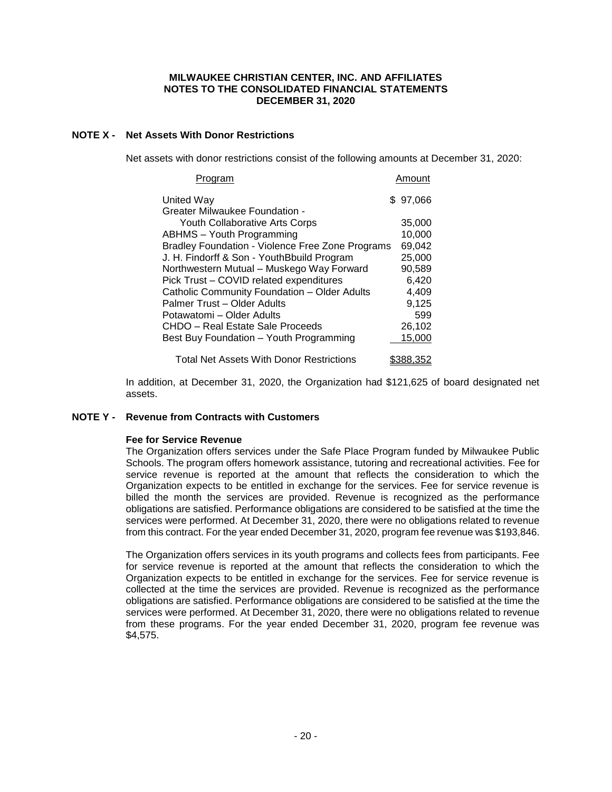# **NOTE X - Net Assets With Donor Restrictions**

Net assets with donor restrictions consist of the following amounts at December 31, 2020:

| rogram                                           | Amount    |
|--------------------------------------------------|-----------|
| United Way                                       | \$97,066  |
| Greater Milwaukee Foundation -                   |           |
| <b>Youth Collaborative Arts Corps</b>            | 35,000    |
| <b>ABHMS</b> – Youth Programming                 | 10,000    |
| Bradley Foundation - Violence Free Zone Programs | 69,042    |
| J. H. Findorff & Son - YouthBbuild Program       | 25,000    |
| Northwestern Mutual - Muskego Way Forward        | 90,589    |
| Pick Trust – COVID related expenditures          | 6,420     |
| Catholic Community Foundation - Older Adults     | 4,409     |
| Palmer Trust - Older Adults                      | 9,125     |
| Potawatomi - Older Adults                        | 599       |
| CHDO - Real Estate Sale Proceeds                 | 26,102    |
| Best Buy Foundation - Youth Programming          | 15,000    |
| Total Net Assets With Donor Restrictions         | \$388.352 |

In addition, at December 31, 2020, the Organization had \$121,625 of board designated net assets.

## **NOTE Y - Revenue from Contracts with Customers**

#### **Fee for Service Revenue**

The Organization offers services under the Safe Place Program funded by Milwaukee Public Schools. The program offers homework assistance, tutoring and recreational activities. Fee for service revenue is reported at the amount that reflects the consideration to which the Organization expects to be entitled in exchange for the services. Fee for service revenue is billed the month the services are provided. Revenue is recognized as the performance obligations are satisfied. Performance obligations are considered to be satisfied at the time the services were performed. At December 31, 2020, there were no obligations related to revenue from this contract. For the year ended December 31, 2020, program fee revenue was \$193,846.

The Organization offers services in its youth programs and collects fees from participants. Fee for service revenue is reported at the amount that reflects the consideration to which the Organization expects to be entitled in exchange for the services. Fee for service revenue is collected at the time the services are provided. Revenue is recognized as the performance obligations are satisfied. Performance obligations are considered to be satisfied at the time the services were performed. At December 31, 2020, there were no obligations related to revenue from these programs. For the year ended December 31, 2020, program fee revenue was \$4,575.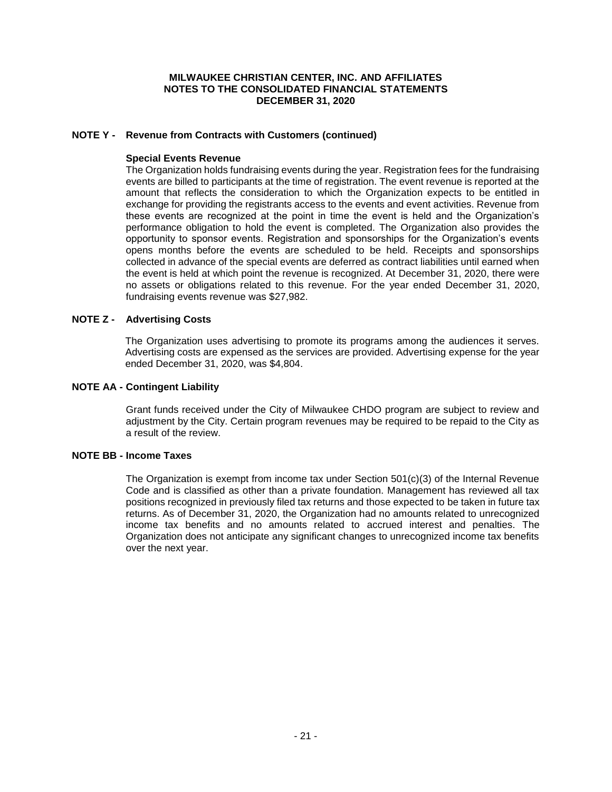# **NOTE Y - Revenue from Contracts with Customers (continued)**

#### **Special Events Revenue**

The Organization holds fundraising events during the year. Registration fees for the fundraising events are billed to participants at the time of registration. The event revenue is reported at the amount that reflects the consideration to which the Organization expects to be entitled in exchange for providing the registrants access to the events and event activities. Revenue from these events are recognized at the point in time the event is held and the Organization's performance obligation to hold the event is completed. The Organization also provides the opportunity to sponsor events. Registration and sponsorships for the Organization's events opens months before the events are scheduled to be held. Receipts and sponsorships collected in advance of the special events are deferred as contract liabilities until earned when the event is held at which point the revenue is recognized. At December 31, 2020, there were no assets or obligations related to this revenue. For the year ended December 31, 2020, fundraising events revenue was \$27,982.

## **NOTE Z - Advertising Costs**

The Organization uses advertising to promote its programs among the audiences it serves. Advertising costs are expensed as the services are provided. Advertising expense for the year ended December 31, 2020, was \$4,804.

## **NOTE AA - Contingent Liability**

Grant funds received under the City of Milwaukee CHDO program are subject to review and adjustment by the City. Certain program revenues may be required to be repaid to the City as a result of the review.

#### **NOTE BB - Income Taxes**

The Organization is exempt from income tax under Section 501(c)(3) of the Internal Revenue Code and is classified as other than a private foundation. Management has reviewed all tax positions recognized in previously filed tax returns and those expected to be taken in future tax returns. As of December 31, 2020, the Organization had no amounts related to unrecognized income tax benefits and no amounts related to accrued interest and penalties. The Organization does not anticipate any significant changes to unrecognized income tax benefits over the next year.